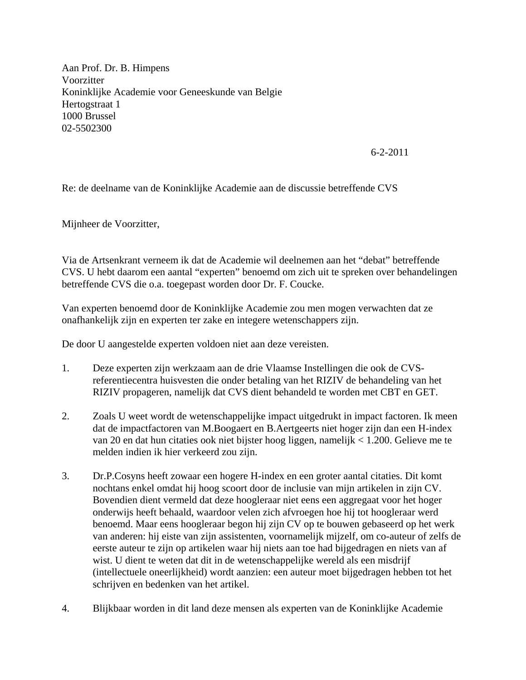Aan Prof. Dr. B. Himpens Voorzitter Koninklijke Academie voor Geneeskunde van Belgie Hertogstraat 1 1000 Brussel 02-5502300

6-2-2011

Re: de deelname van de Koninklijke Academie aan de discussie betreffende CVS

Mijnheer de Voorzitter,

Via de Artsenkrant verneem ik dat de Academie wil deelnemen aan het "debat" betreffende CVS. U hebt daarom een aantal "experten" benoemd om zich uit te spreken over behandelingen betreffende CVS die o.a. toegepast worden door Dr. F. Coucke.

Van experten benoemd door de Koninklijke Academie zou men mogen verwachten dat ze onafhankelijk zijn en experten ter zake en integere wetenschappers zijn.

De door U aangestelde experten voldoen niet aan deze vereisten.

- 1. Deze experten zijn werkzaam aan de drie Vlaamse Instellingen die ook de CVSreferentiecentra huisvesten die onder betaling van het RIZIV de behandeling van het RIZIV propageren, namelijk dat CVS dient behandeld te worden met CBT en GET.
- 2. Zoals U weet wordt de wetenschappelijke impact uitgedrukt in impact factoren. Ik meen dat de impactfactoren van M.Boogaert en B.Aertgeerts niet hoger zijn dan een H-index van 20 en dat hun citaties ook niet bijster hoog liggen, namelijk < 1.200. Gelieve me te melden indien ik hier verkeerd zou zijn.
- 3. Dr.P.Cosyns heeft zowaar een hogere H-index en een groter aantal citaties. Dit komt nochtans enkel omdat hij hoog scoort door de inclusie van mijn artikelen in zijn CV. Bovendien dient vermeld dat deze hoogleraar niet eens een aggregaat voor het hoger onderwijs heeft behaald, waardoor velen zich afvroegen hoe hij tot hoogleraar werd benoemd. Maar eens hoogleraar begon hij zijn CV op te bouwen gebaseerd op het werk van anderen: hij eiste van zijn assistenten, voornamelijk mijzelf, om co-auteur of zelfs de eerste auteur te zijn op artikelen waar hij niets aan toe had bijgedragen en niets van af wist. U dient te weten dat dit in de wetenschappelijke wereld als een misdrijf (intellectuele oneerlijkheid) wordt aanzien: een auteur moet bijgedragen hebben tot het schrijven en bedenken van het artikel.
- 4. Blijkbaar worden in dit land deze mensen als experten van de Koninklijke Academie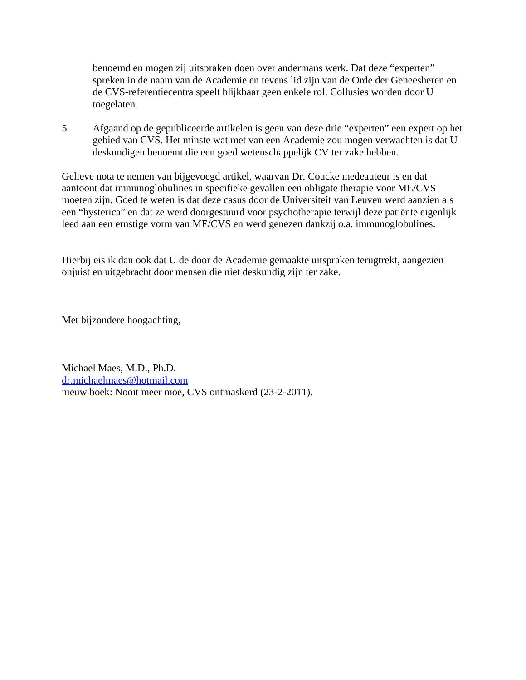benoemd en mogen zij uitspraken doen over andermans werk. Dat deze "experten" spreken in de naam van de Academie en tevens lid zijn van de Orde der Geneesheren en de CVS-referentiecentra speelt blijkbaar geen enkele rol. Collusies worden door U toegelaten.

5. Afgaand op de gepubliceerde artikelen is geen van deze drie "experten" een expert op het gebied van CVS. Het minste wat met van een Academie zou mogen verwachten is dat U deskundigen benoemt die een goed wetenschappelijk CV ter zake hebben.

Gelieve nota te nemen van bijgevoegd artikel, waarvan Dr. Coucke medeauteur is en dat aantoont dat immunoglobulines in specifieke gevallen een obligate therapie voor ME/CVS moeten zijn. Goed te weten is dat deze casus door de Universiteit van Leuven werd aanzien als een "hysterica" en dat ze werd doorgestuurd voor psychotherapie terwijl deze patiënte eigenlijk leed aan een ernstige vorm van ME/CVS en werd genezen dankzij o.a. immunoglobulines.

Hierbij eis ik dan ook dat U de door de Academie gemaakte uitspraken terugtrekt, aangezien onjuist en uitgebracht door mensen die niet deskundig zijn ter zake.

Met bijzondere hoogachting,

Michael Maes, M.D., Ph.D. dr.michaelmaes@hotmail.com nieuw boek: Nooit meer moe, CVS ontmaskerd (23-2-2011).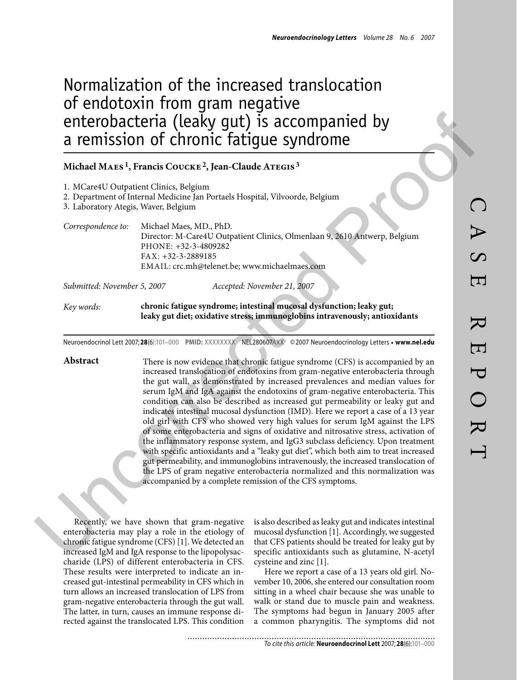## Normalization of the increased translocation of endotoxin from gram negative enterobacteria (leaky gut) is accompanied by a remission of chronic fatigue syndrome

## **Michael Maes 1, Francis Coucke 2, Jean-Claude Ategis 3**

|                                      | Michael MAES <sup>1</sup> , Francis COUCKE <sup>2</sup> , Jean-Claude ATEGIS <sup>3</sup>                                                                                                                                                                                                                                                                                                                                                                                                                                                                                                                                                                                                                                                                                                                                                                                                                                                                                                                                                                                                     |  |  |  |  |  |  |  |
|--------------------------------------|-----------------------------------------------------------------------------------------------------------------------------------------------------------------------------------------------------------------------------------------------------------------------------------------------------------------------------------------------------------------------------------------------------------------------------------------------------------------------------------------------------------------------------------------------------------------------------------------------------------------------------------------------------------------------------------------------------------------------------------------------------------------------------------------------------------------------------------------------------------------------------------------------------------------------------------------------------------------------------------------------------------------------------------------------------------------------------------------------|--|--|--|--|--|--|--|
| 3. Laboratory Ategis, Waver, Belgium | 1. MCare4U Outpatient Clinics, Belgium<br>2. Department of Internal Medicine Jan Portaels Hospital, Vilvoorde, Belgium                                                                                                                                                                                                                                                                                                                                                                                                                                                                                                                                                                                                                                                                                                                                                                                                                                                                                                                                                                        |  |  |  |  |  |  |  |
| Correspondence to:                   | Michael Maes, MD., PhD.<br>Director: M-Care4U Outpatient Clinics, Olmenlaan 9, 2610 Antwerp, Belgium<br>PHONE: +32-3-4809282<br>FAX: +32-3-2889185<br>EMAIL: crc.mh@telenet.be; www.michaelmaes.com                                                                                                                                                                                                                                                                                                                                                                                                                                                                                                                                                                                                                                                                                                                                                                                                                                                                                           |  |  |  |  |  |  |  |
| Submitted: November 5, 2007          | Accepted: November 21, 2007                                                                                                                                                                                                                                                                                                                                                                                                                                                                                                                                                                                                                                                                                                                                                                                                                                                                                                                                                                                                                                                                   |  |  |  |  |  |  |  |
| Key words:                           | chronic fatigue syndrome; intestinal mucosal dysfunction; leaky gut;<br>leaky gut diet; oxidative stress; immunoglobins intravenously; antioxidants                                                                                                                                                                                                                                                                                                                                                                                                                                                                                                                                                                                                                                                                                                                                                                                                                                                                                                                                           |  |  |  |  |  |  |  |
|                                      | Neuroendocrinol Lett 2007;28(6):101-000 PMID: XXXXXXXX NEL280607AXX © 2007 Neuroendocrinology Letters • www.nel.edu                                                                                                                                                                                                                                                                                                                                                                                                                                                                                                                                                                                                                                                                                                                                                                                                                                                                                                                                                                           |  |  |  |  |  |  |  |
| Abstract                             | There is now evidence that chronic fatigue syndrome (CFS) is accompanied by an<br>increased translocation of endotoxins from gram-negative enterobacteria through<br>the gut wall, as demonstrated by increased prevalences and median values for<br>serum IgM and IgA against the endotoxins of gram-negative enterobacteria. This<br>condition can also be described as increased gut permeability or leaky gut and<br>indicates intestinal mucosal dysfunction (IMD). Here we report a case of a 13 year<br>old girl with CFS who showed very high values for serum IgM against the LPS<br>of some enterobacteria and signs of oxidative and nitrosative stress, activation of<br>the inflammatory response system, and IgG3 subclass deficiency. Upon treatment<br>with specific antioxidants and a "leaky gut diet", which both aim to treat increased<br>gut permeability, and immunoglobins intravenously, the increased translocation of<br>the LPS of gram negative enterobacteria normalized and this normalization was<br>accompanied by a complete remission of the CFS symptoms. |  |  |  |  |  |  |  |
|                                      | is also described as leaky gut and indicates intestinal<br>Recently, we have shown that gram-negative<br>enterobacteria may play a role in the etiology of<br>mucosal dysfunction [1]. Accordingly, we suggested<br>that CFS patients should be treated for leaky gut by<br>chronic fatigue syndrome (CFS) [1]. We detected an<br>specific antioxidants such as glutamine, N-acetyl<br>increased IgM and IgA response to the lipopolysac-                                                                                                                                                                                                                                                                                                                                                                                                                                                                                                                                                                                                                                                     |  |  |  |  |  |  |  |

Recently, we have shown that gram-negative enterobacteria may play a role in the etiology of chronic fatigue syndrome (CFS) [1]. We detected an increased IgM and IgA response to the lipopolysaccharide (LPS) of different enterobacteria in CFS. These results were interpreted to indicate an increased gut-intestinal permeability in CFS which in turn allows an increased translocation of LPS from gram-negative enterobacteria through the gut wall. The latter, in turn, causes an immune response directed against the translocated LPS. This condition is also described as leaky gut and indicates intestinal mucosal dysfunction [1]. Accordingly, we suggested that CFS patients should be treated for leaky gut by specific antioxidants such as glutamine, N-acetyl cysteine and zinc [1].

Here we report a case of a 13 years old girl. November 10, 2006, she entered our consultation room sitting in a wheel chair because she was unable to walk or stand due to muscle pain and weakness. The symptoms had begun in January 2005 after a common pharyngitis. The symptoms did not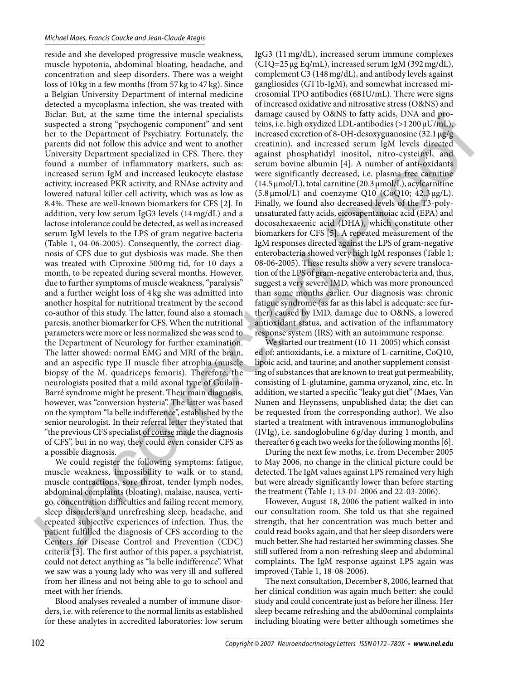reside and she developed progressive muscle weakness, muscle hypotonia, abdominal bloating, headache, and concentration and sleep disorders. There was a weight loss of 10 kg in a few months (from 57 kg to 47 kg). Since a Belgian University Department of internal medicine detected a mycoplasma infection, she was treated with Biclar. But, at the same time the internal specialists suspected a strong "psychogenic component" and sent her to the Department of Psychiatry. Fortunately, the parents did not follow this advice and went to another University Department specialized in CFS. There, they found a number of inflammatory markers, such as: increased serum IgM and increased leukocyte elastase activity, increased PKR activity, and RNAse activity and lowered natural killer cell activity, which was as low as 8.4%. These are well-known biomarkers for CFS [2]. In addition, very low serum IgG3 levels (14 mg/dL) and a lactose intolerance could be detected, as well as increased serum IgM levels to the LPS of gram negative bacteria (Table 1, 04-06-2005). Consequently, the correct diagnosis of CFS due to gut dysbiosis was made. She then was treated with Ciproxine 500 mg tid, for 10 days a month, to be repeated during several months. However, due to further symptoms of muscle weakness, "paralysis" and a further weight loss of 4 kg she was admitted into another hospital for nutritional treatment by the second co-author of this study. The latter, found also a stomach paresis, another biomarker for CFS. When the nutritional parameters were more or less normalized she was send to the Department of Neurology for further examination. The latter showed: normal EMG and MRI of the brain, and an aspecific type II muscle fiber atrophia (muscle biopsy of the M. quadriceps femoris). Therefore, the neurologists posited that a mild axonal type of Guilain-Barré syndrome might be present. Their main diagnosis, however, was "conversion hysteria". The latter was based on the symptom "la belle indifference", established by the senior neurologist. In their referral letter they stated that "the previous CFS specialist of course made the diagnosis of CFS", but in no way, they could even consider CFS as a possible diagnosis. Bielar Bielar die konte tune the lineral specialist damage aused by OBNS to fair schef, DNA and good in the special species of the special species of the context of the context of the context of the properties of the prob

We could register the following symptoms: fatigue, muscle weakness, impossibility to walk or to stand, muscle contractions, sore throat, tender lymph nodes, abdominal complaints (bloating), malaise, nausea, vertigo, concentration difficulties and failing recent memory, sleep disorders and unrefreshing sleep, headache, and repeated subjective experiences of infection. Thus, the patient fulfilled the diagnosis of CFS according to the Centers for Disease Control and Prevention (CDC) criteria [3]. The first author of this paper, a psychiatrist, could not detect anything as "la belle indifference". What we saw was a young lady who was very ill and suffered from her illness and not being able to go to school and meet with her friends.

Blood analyses revealed a number of immune disorders, i.e. with reference to the normal limits as established for these analytes in accredited laboratories: low serum

IgG3 (11 mg/dL), increased serum immune complexes (C1Q=25 μg Eq/mL), increased serum IgM (392 mg/dL), complement C3 (148 mg/dL), and antibody levels against gangliosides (GT1b-IgM), and somewhat increased microsomial TPO antibodies (68 IU/mL). There were signs of increased oxidative and nitrosative stress (O&NS) and damage caused by O&NS to fatty acids, DNA and proteins, i.e. high oxydized LDL-antibodies ( $>1200 \mu U/mL$ ), increased excretion of 8-OH-desoxyguanosine (32.1 μg/g creatinin), and increased serum IgM levels directed against phosphatidyl inositol, nitro-cysteinyl, and serum bovine albumin [4]. A number of anti-oxidants were significantly decreased, i.e. plasma free carnitine (14.5 μmol/L), total carnitine (20.3 μmol/L), acylcarnitine  $(5.8 \mu \text{mol/L})$  and coenzyme Q10 (CoQ10; 42.3  $\mu$ g/L). Finally, we found also decreased levels of the T3-polyunsaturated fatty acids, eicosapentanoiac acid (EPA) and docosahexaeenic acid (DHA), which constitute other biomarkers for CFS [5]. A repeated measurement of the IgM responses directed against the LPS of gram-negative enterobacteria showed very high IgM responses (Table 1; 08-06-2005). These results show a very severe translocation of the LPS of gram-negative enterobacteria and, thus, suggest a very severe IMD, which was more pronounced than some months earlier. Our diagnosis was: chronic fatigue syndrome (as far as this label is adequate: see further) caused by IMD, damage due to O&NS, a lowered antioxidant status, and activation of the inflammatory response system (IRS) with an autoimmune response.

We started our treatment (10-11-2005) which consisted of: antioxidants, i.e. a mixture of L-carnitine, CoQ10, lipoic acid, and taurine; and another supplement consisting of substances that are known to treat gut permeability, consisting of L-glutamine, gamma oryzanol, zinc, etc. In addition, we started a specific "leaky gut diet" (Maes, Van Nunen and Heynssens, unpublished data; the diet can be requested from the corresponding author). We also started a treatment with intravenous immunoglobulins (IVIg), i.e. sandoglobuline 6 g/day during 1 month, and thereafter 6 g each two weeks for the following months [6].

During the next few moths, i.e. from December 2005 to May 2006, no change in the clinical picture could be detected. The IgM values against LPS remained very high but were already significantly lower than before starting the treatment (Table 1; 13-01-2006 and 22-03-2006).

However, August 18, 2006 the patient walked in into our consultation room. She told us that she regained strength, that her concentration was much better and could read books again, and that her sleep disorders were much better. She had restarted her swimming classes. She still suffered from a non-refreshing sleep and abdominal complaints. The IgM response against LPS again was improved (Table 1, 18-08-2006).

The next consultation, December 8, 2006, learned that her clinical condition was again much better: she could study and could concentrate just as before her illness. Her sleep became refreshing and the abd0ominal complaints including bloating were better although sometimes she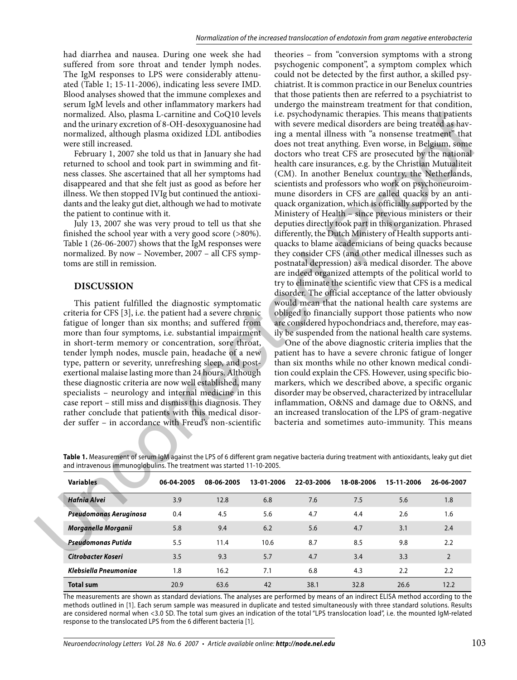had diarrhea and nausea. During one week she had suffered from sore throat and tender lymph nodes. The IgM responses to LPS were considerably attenuated (Table 1; 15-11-2006), indicating less severe IMD. Blood analyses showed that the immune complexes and serum IgM levels and other inflammatory markers had normalized. Also, plasma L-carnitine and CoQ10 levels and the urinary excretion of 8-OH-desoxyguanosine had normalized, although plasma oxidized LDL antibodies were still increased.

February 1, 2007 she told us that in January she had returned to school and took part in swimming and fitness classes. She ascertained that all her symptoms had disappeared and that she felt just as good as before her illness. We then stopped IVIg but continued the antioxidants and the leaky gut diet, although we had to motivate the patient to continue with it.

July 13, 2007 she was very proud to tell us that she finished the school year with a very good score (>80%). Table 1 (26-06-2007) shows that the IgM responses were normalized. By now – November, 2007 – all CFS symptoms are still in remission.

## **DISCUSSION**

This patient fulfilled the diagnostic symptomatic criteria for CFS [3], i.e. the patient had a severe chronic fatigue of longer than six months; and suffered from more than four symptoms, i.e. substantial impairment in short-term memory or concentration, sore throat, tender lymph nodes, muscle pain, headache of a new type, pattern or severity, unrefreshing sleep, and postexertional malaise lasting more than 24 hours. Although these diagnostic criteria are now well established, many specialists – neurology and internal medicine in this case report – still miss and dismiss this diagnosis. They rather conclude that patients with this medical disorder suffer – in accordance with Freud's non-scientific

theories – from "conversion symptoms with a strong psychogenic component", a symptom complex which could not be detected by the first author, a skilled psychiatrist. It is common practice in our Benelux countries that those patients then are referred to a psychiatrist to undergo the mainstream treatment for that condition, i.e. psychodynamic therapies. This means that patients with severe medical disorders are being treated as having a mental illness with "a nonsense treatment" that does not treat anything. Even worse, in Belgium, some doctors who treat CFS are prosecuted by the national health care insurances, e.g. by the Christian Mutualiteit (CM). In another Benelux country, the Netherlands, scientists and professors who work on psychoneuroimmune disorders in CFS are called quacks by an antiquack organization, which is officially supported by the Ministery of Health – since previous ministers or their deputies directly took part in this organization. Phrased differently, the Dutch Ministery of Health supports antiquacks to blame academicians of being quacks because they consider CFS (and other medical illnesses such as postnatal depression) as a medical disorder. The above are indeed organized attempts of the political world to try to eliminate the scientific view that CFS is a medical disorder. The official acceptance of the latter obviously would mean that the national health care systems are obliged to financially support those patients who now are considered hypochondriacs and, therefore, may easily be suspended from the national health care systems. normalized. Also, plasma L-candina con QOO levels in the proposition and the proposition of COO levels in the mean all the mean and point of the mean and the mean and the mean and the mean and the mean and the state of th

One of the above diagnostic criteria implies that the patient has to have a severe chronic fatigue of longer than six months while no other known medical condition could explain the CFS. However, using specific biomarkers, which we described above, a specific organic disorder may be observed, characterized by intracellular inflammation, O&NS and damage due to O&NS, and an increased translocation of the LPS of gram-negative bacteria and sometimes auto-immunity. This means

**Table 1.** Measurement of serum IgM against the LPS of 6 different gram negative bacteria during treatment with antioxidants, leaky gut diet and intravenous immunoglobulins. The treatment was started 11-10-2005.

| <b>Variables</b>       | 06-04-2005 | 08-06-2005 | 13-01-2006 | 22-03-2006 | 18-08-2006 | 15-11-2006 | 26-06-2007     |
|------------------------|------------|------------|------------|------------|------------|------------|----------------|
| <b>Hafnia Alvei</b>    | 3.9        | 12.8       | 6.8        | 7.6        | 7.5        | 5.6        | 1.8            |
| Pseudomonas Aeruginosa | 0.4        | 4.5        | 5.6        | 4.7        | 4.4        | 2.6        | 1.6            |
| Morganella Morganii    | 5.8        | 9.4        | 6.2        | 5.6        | 4.7        | 3.1        | 2.4            |
| Pseudomonas Putida     | 5.5        | 11.4       | 10.6       | 8.7        | 8.5        | 9.8        | 2.2            |
| Citrobacter Koseri     | 3.5        | 9.3        | 5.7        | 4.7        | 3.4        | 3.3        | $\overline{2}$ |
| Klebsiella Pneumoniae  | 1.8        | 16.2       | 7.1        | 6.8        | 4.3        | 2.2        | 2.2            |
| <b>Total sum</b>       | 20.9       | 63.6       | 42         | 38.1       | 32.8       | 26.6       | 12.2           |

The measurements are shown as standard deviations. The analyses are performed by means of an indirect ELISA method according to the methods outlined in [1]. Each serum sample was measured in duplicate and tested simultaneously with three standard solutions. Results are considered normal when <3.0 SD. The total sum gives an indication of the total "LPS translocation load", i.e. the mounted IgM-related response to the translocated LPS from the 6 different bacteria [1].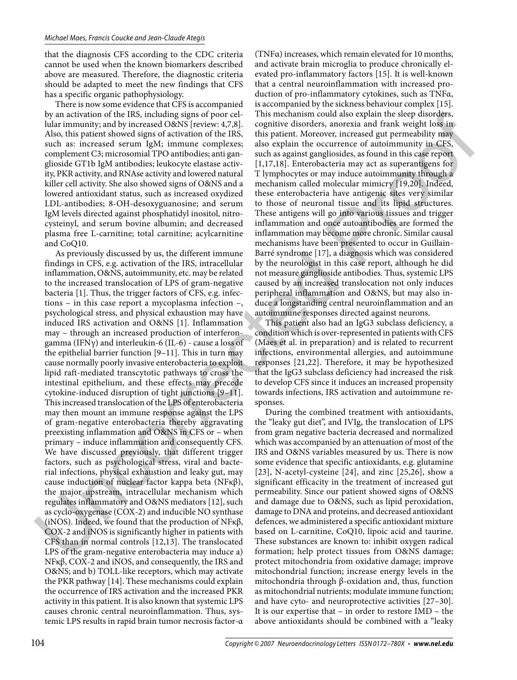that the diagnosis CFS according to the CDC criteria cannot be used when the known biomarkers described above are measured. Therefore, the diagnostic criteria should be adapted to meet the new findings that CFS has a specific organic pathophysiology.

There is now some evidence that CFS is accompanied by an activation of the IRS, including signs of poor cellular immunity; and by increased O&NS [review: 4,7,8]. Also, this patient showed signs of activation of the IRS, such as: increased serum IgM; immune complexes; complement C3; microsomial TPO antibodies; anti ganglioside GT1b IgM antibodies; leukocyte elastase activity, PKR activity, and RNAse activity and lowered natural killer cell activity. She also showed signs of O&NS and a lowered antioxidant status, such as increased oxydized LDL-antibodies; 8-OH-desoxyguanosine; and serum IgM levels directed against phosphatidyl inositol, nitrocysteinyl, and serum bovine albumin; and decreased plasma free L-carnitine; total carnitine; acylcarnitine and CoQ10.

As previously discussed by us, the different immune findings in CFS, e.g. activation of the IRS, intracellular inflammation, O&NS, autoimmunity, etc. may be related to the increased translocation of LPS of gram-negative bacteria [1]. Thus, the trigger factors of CFS, e.g. infections – in this case report a mycoplasma infection –, psychological stress, and physical exhaustion may have induced IRS activation and O&NS [1]. Inflammation may – through an increased production of interferongamma (IFNγ) and interleukin-6 (IL-6) - cause a loss of the epithelial barrier function [9–11]. This in turn may cause normally poorly invasive enterobacteria to exploit lipid raft-mediated transcytotic pathways to cross the intestinal epithelium, and these effects may precede cytokine-induced disruption of tight junctions [9–11]. This increased translocation of the LPS of enterobacteria may then mount an immune response against the LPS of gram-negative enterobacteria thereby aggravating preexisting inflammation and O&NS in CFS or – when primary – induce inflammation and consequently CFS. We have discussed previously, that different trigger factors, such as psychological stress, viral and bacterial infections, physical exhaustion and leaky gut, may cause induction of nuclear factor kappa beta (NFκβ), the major upstream, intracellular mechanism which regulates inflammatory and O&NS mediators [12], such as cyclo-oxygenase (COX-2) and inducible NO synthase (iNOS). Indeed, we found that the production of NFκβ, COX-2 and iNOS is significantly higher in patients with CFS than in normal controls [12,13]. The translocated LPS of the gram-negative enterobacteria may induce a) NFκβ, COX-2 and iNOS, and consequently, the IRS and O&NS; and b) TOLL-like receptors, which may activate the PKR pathway [14]. These mechanisms could explain the occurrence of IRS activation and the increased PKR activity in this patient. It is also known that systemic LPS causes chronic central neuroinflammation. Thus, systemic LPS results in rapid brain tumor necrosis factor-α by an activistical plane of the RS, including interesting of port cells including counterparts and the explaination of the space of the space of the space of the space of the space of the space of the space of the space o

(TNFα) increases, which remain elevated for 10 months, and activate brain microglia to produce chronically elevated pro-inflammatory factors [15]. It is well-known that a central neuroinflammation with increased production of pro-inflammatory cytokines, such as TNFα, is accompanied by the sickness behaviour complex [15]. This mechanism could also explain the sleep disorders, cognitive disorders, anorexia and frank weight loss in this patient. Moreover, increased gut permeability may also explain the occurrence of autoimmunity in CFS, such as against gangliosides, as found in this case report [1,17,18]. Enterobacteria may act as superantigens for T lymphocytes or may induce autoimmunity through a mechanism called molecular mimicry [19,20]. Indeed, these enterobacteria have antigenic sites very similar to those of neuronal tissue and its lipid structures. These antigens will go into various tissues and trigger inflammation and once autoantibodies are formed the inflammation may become more chronic. Similar causal mechanisms have been presented to occur in Guillain-Barré syndrome [17], a diagnosis which was considered by the neurologist in this case report, although he did not measure ganglioside antibodies. Thus, systemic LPS caused by an increased translocation not only induces peripheral inflammation and O&NS, but may also induce a longstanding central neuroinflammation and an autoimmune responses directed against neurons.

This patient also had an IgG3 subclass deficiency, a condition which is over-represented in patients with CFS (Maes et al. in preparation) and is related to recurrent infections, environmental allergies, and autoimmune responses [21,22]. Therefore, it may be hypothesized that the IgG3 subclass deficiency had increased the risk to develop CFS since it induces an increased propensity towards infections, IRS activation and autoimmune responses.

During the combined treatment with antioxidants, the "leaky gut diet", and IVIg, the translocation of LPS from gram negative bacteria decreased and normalized which was accompanied by an attenuation of most of the IRS and O&NS variables measured by us. There is now some evidence that specific antioxidants, e.g. glutamine [23], N-acetyl-cysteine [24], and zinc [25,26], show a significant efficacity in the treatment of increased gut permeability. Since our patient showed signs of O&NS and damage due to O&NS, such as lipid peroxidation, damage to DNA and proteins, and decreased antioxidant defences, we administered a specific antioxidant mixture based on L-carnitine, CoQ10, lipoic acid and taurine. These substances are known to: inhibit oxygen radical formation; help protect tissues from O&NS damage; protect mitochondria from oxidative damage; improve mitochondrial function; increase energy levels in the mitochondria through β-oxidation and, thus, function as mitochondrial nutrients; modulate immune function; and have cyto- and neuroprotective activities [27–30]. It is our expertise that – in order to restore IMD – the above antioxidants should be combined with a "leaky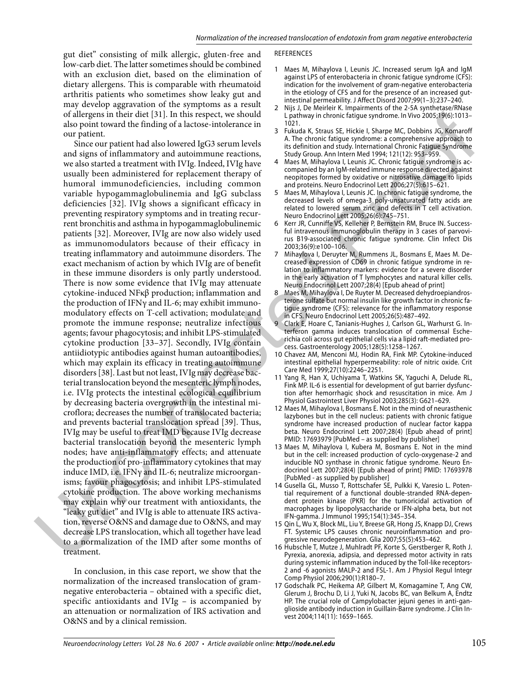gut diet" consisting of milk allergic, gluten-free and low-carb diet. The latter sometimes should be combined with an exclusion diet, based on the elimination of dietary allergens. This is comparable with rheumatoid arthritis patients who sometimes show leaky gut and may develop aggravation of the symptoms as a result of allergens in their diet [31]. In this respect, we should also point toward the finding of a lactose-intolerance in our patient.

Since our patient had also lowered IgG3 serum levels and signs of inflammatory and autoimmune reactions, we also started a treatment with IVIg. Indeed, IVIg have usually been administered for replacement therapy of humoral immunodeficiencies, including common variable hypogammaglobulinemia and IgG subclass deficiencies [32]. IVIg shows a significant efficacy in preventing respiratory symptoms and in treating recurrent bronchitis and asthma in hypogammaglobulinemic patients [32]. Moreover, IVIg are now also widely used as immunomodulators because of their efficacy in treating inflammatory and autoimmune disorders. The exact mechanism of action by which IVIg are of benefit in these immune disorders is only partly understood. There is now some evidence that IVIg may attenuate cytokine-induced NFκβ production; inflammation and the production of IFNγ and IL-6; may exhibit immunomodulatory effects on T-cell activation; modulate and promote the immune response; neutralize infectious agents; favour phagocytosis; and inhibit LPS-stimulated cytokine production [33–37]. Secondly, IVIg contain antiidiotypic antibodies against human autoantibodies, which may explain its efficacy in treating autoimmune disorders [38]. Last but not least, IVIg may decrease bacterial translocation beyond the mesenteric lymph nodes, i.e. IVIg protects the intestinal ecological equilibrium by decreasing bacteria overgrowth in the intestinal microflora; decreases the number of translocated bacteria; and prevents bacterial translocation spread [39]. Thus, IVIg may be useful to treat IMD because IVIg decrease bacterial translocation beyond the mesenteric lymph nodes; have anti-inflammatory effects; and attenuate the production of pro-inflammatory cytokines that may induce IMD, i.e. IFNγ and IL-6; neutralize microorganisms; favour phagocytosis; and inhibit LPS-stimulated cytokine production. The above working mechanisms may explain why our treatment with antioxidants, the "leaky gut diet" and IVIg is able to attenuate IRS activation, reverse O&NS and damage due to O&NS, and may decrease LPS translocation, which all together have lead to a normalization of the IMD after some months of treatment. of alternass in their data technique in photosophisms (alternass in the separation in the separation of a separation in the separation of a separation of a separation of a separation of a separation of a separation of a s

In conclusion, in this case report, we show that the normalization of the increased translocation of gramnegative enterobacteria – obtained with a specific diet, specific antioxidants and IVIg – is accompanied by an attenuation or normalization of IRS activation and O&NS and by a clinical remission.

## REFERENCES

- Maes M, Mihaylova I, Leunis JC. Increased serum IgA and IgM 1 against LPS of enterobacteria in chronic fatigue syndrome (CFS): indication for the involvement of gram-negative enterobacteria in the etiology of CFS and for the presence of an increased gutintestinal permeability. J Affect Disord 2007;99(1–3):237–240.
- Nijs J, De Meirleir K. Impairments of the 2-5A synthetase/RNase L pathway in chronic fatigue syndrome. In Vivo 2005;19(6):1013– 1021. 2
- Fukuda K, Straus SE, Hickie I, Sharpe MC, Dobbins JG, Komaroff A. The chronic fatigue syndrome: a comprehensive approach to its definition and study. International Chronic Fatigue Syndrome Study Group. Ann Intern Med 1994; 121(12): 953–959. 3
- Maes M, Mihaylova I, Leunis JC. Chronic fatigue syndrome is accompanied by an IgM-related immune response directed against neopitopes formed by oxidative or nitrosative damage to lipids and proteins. Neuro Endocrinol Lett 2006;27(5):615–621. 4
- Maes M, Mihaylova I, Leunis JC. In chronic fatigue syndrome, the decreased levels of omega-3 poly-unsaturated fatty acids are related to lowered serum zinc and defects in T cell activation. Neuro Endocrinol Lett 2005;26(6):745–751. 5
- 6 Kerr JR, Cunniffe VS, Kelleher P, Bernstein RM, Bruce IN. Successful intravenous immunoglobulin therapy in 3 cases of parvovirus B19-associated chronic fatigue syndrome. Clin Infect Dis 2003;36(9):e100–106.
- Mihaylova I, Deruyter M, Rummens JL, Bosmans E, Maes M. Decreased expression of CD69 in chronic fatigue syndrome in relation to inflammatory markers: evidence for a severe disorder in the early activation of T lymphocytes and natural killer cells. Neuro Endocrinol Lett 2007;28(4) [Epub ahead of print] 7
- Maes M, Mihaylova I, De Ruyter M. Decreased dehydroepiandrosterone sulfate but normal insulin like growth factor in chronic fatigue syndrome (CFS): relevance for the inflammatory response in CFS. Neuro Endocrinol Lett 2005;26(5):487–492. 8
- Clark E, Hoare C, Tanianis-Hughes J, Carlson GL, Warhurst G. Interferon gamma induces translocation of commensal Escherichia coli across gut epithelial cells via a lipid raft-mediated process. Gastroenterology 2005;128(5):1258–1267. 9
- 10 Chavez AM, Menconi MJ, Hodin RA, Fink MP. Cytokine-induced intestinal epithelial hyperpermeability: role of nitric oxide. Crit Care Med 1999;27(10):2246–2251.
- 11 Yang R, Han X, Uchiyama T, Watkins SK, Yaguchi A, Delude RL, Fink MP. IL-6 is essential for development of gut barrier dysfunction after hemorrhagic shock and resuscitation in mice. Am J Physiol Gastrointest Liver Physiol 2003;285(3): G621–629.
- 12 Maes M, Mihaylova I, Bosmans E. Not in the mind of neurasthenic lazybones but in the cell nucleus: patients with chronic fatigue syndrome have increased production of nuclear factor kappa beta. Neuro Endocrinol Lett 2007;28(4) [Epub ahead of print] PMID: 17693979 [PubMed – as supplied by publisher]
- 13 Maes M, Mihaylova I, Kubera M, Bosmans E. Not in the mind but in the cell: increased production of cyclo-oxygenase-2 and inducible NO synthase in chronic fatigue syndrome. Neuro Endocrinol Lett 2007;28(4) [Epub ahead of print] PMID: 17693978 [PubMed - as supplied by publisher]
- 14 Gusella GL, Musso T, Rottschafer SE, Pulkki K, Varesio L. Potential requirement of a functional double-stranded RNA-dependent protein kinase (PKR) for the tumoricidal activation of macrophages by lipopolysaccharide or IFN-alpha beta, but not IFN-gamma. J Immunol 1995;154(1):345–354.
- 15 Qin L, Wu X, Block ML, Liu Y, Breese GR, Hong JS, Knapp DJ, Crews FT. Systemic LPS causes chronic neuroinflammation and progressive neurodegeneration. Glia 2007;55(5):453–462.
- 16 Hubschle T, Mutze J, Muhlradt PF, Korte S, Gerstberger R, Roth J. Pyrexia, anorexia, adipsia, and depressed motor activity in rats during systemic inflammation induced by the Toll-like receptors-2 and -6 agonists MALP-2 and FSL-1. Am J Physiol Regul Integr Comp Physiol 2006;290(1):R180–7.
- 17 Godschalk PC, Heikema AP, Gilbert M, Komagamine T, Ang CW, Glerum J, Brochu D, Li J, Yuki N, Jacobs BC, van Belkum A, Endtz HP. The crucial role of Campylobacter jejuni genes in anti-ganglioside antibody induction in Guillain-Barre syndrome. J Clin Invest 2004;114(11): 1659–1665.